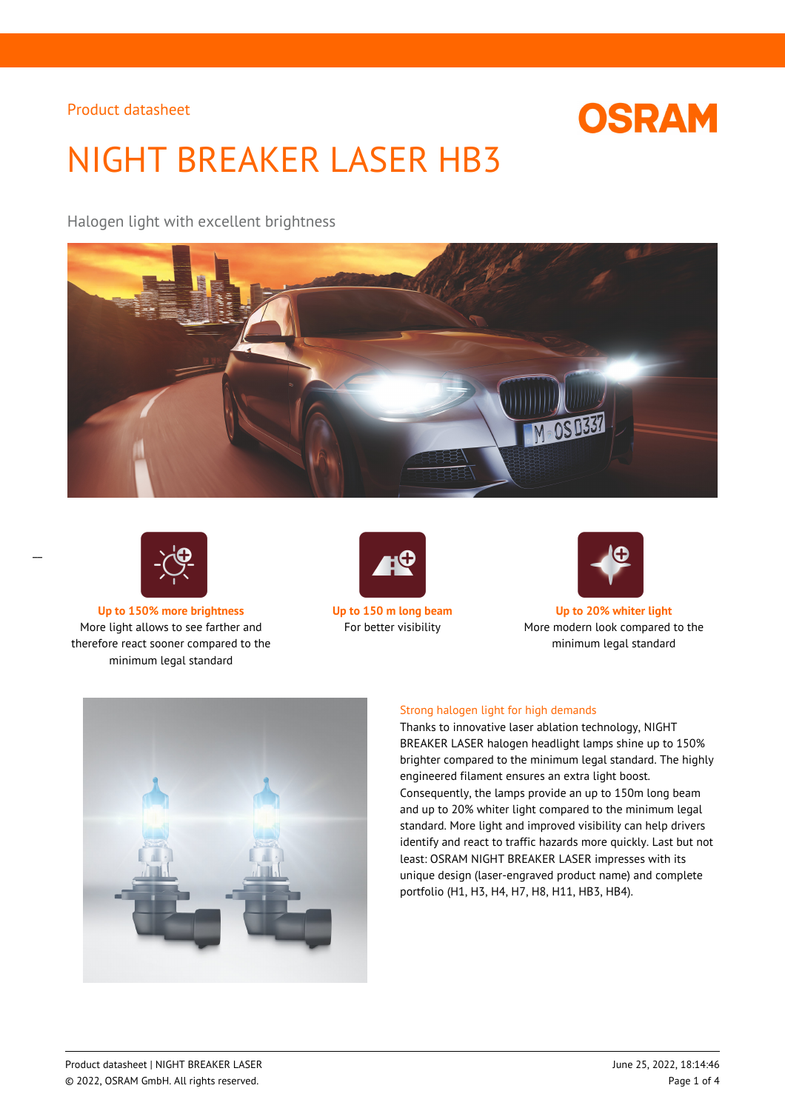

# NIGHT BREAKER LASER HB3

Halogen light with excellent brightness





 $\overline{a}$ 

**Up to 150% more brightness Up to 150 m long beam Up to 20% whiter light** More light allows to see farther and therefore react sooner compared to the minimum legal standard





For better visibility More modern look compared to the minimum legal standard



#### Strong halogen light for high demands

Thanks to innovative laser ablation technology, NIGHT BREAKER LASER halogen headlight lamps shine up to 150% brighter compared to the minimum legal standard. The highly engineered filament ensures an extra light boost. Consequently, the lamps provide an up to 150m long beam and up to 20% whiter light compared to the minimum legal standard. More light and improved visibility can help drivers identify and react to traffic hazards more quickly. Last but not least: OSRAM NIGHT BREAKER LASER impresses with its unique design (laser-engraved product name) and complete portfolio (H1, H3, H4, H7, H8, H11, HB3, HB4).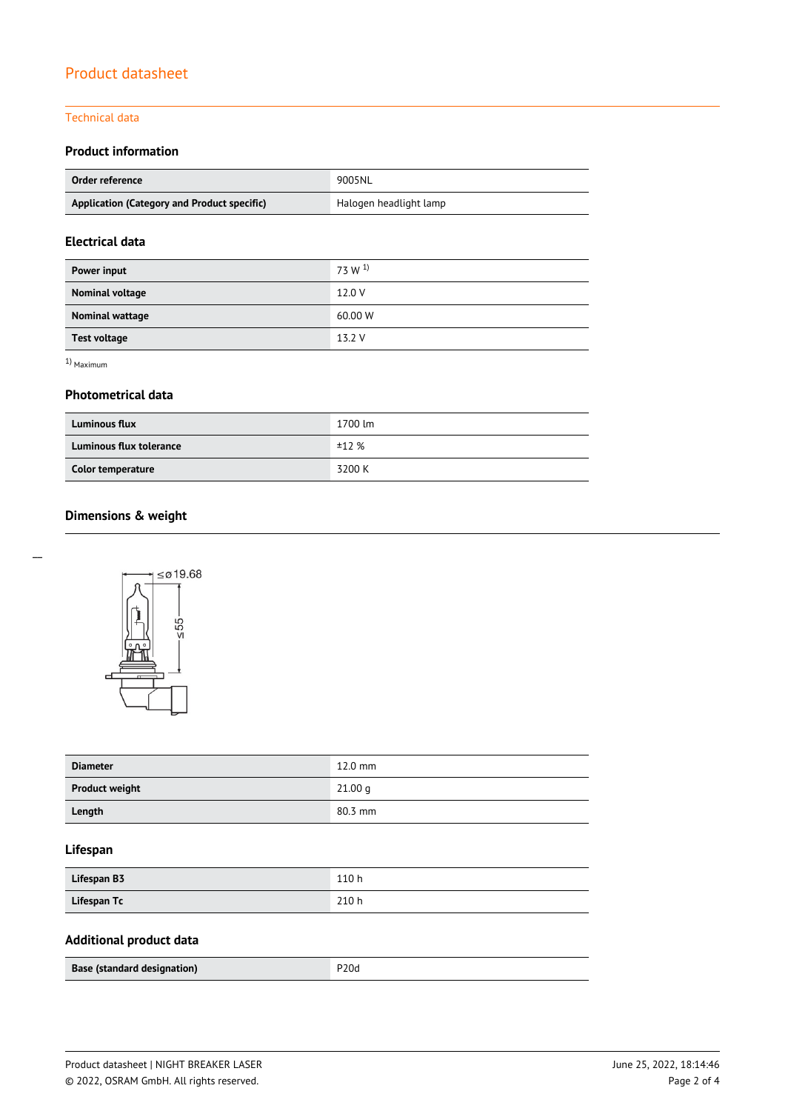#### Technical data

## **Product information**

| Order reference                             | 9005NL                 |
|---------------------------------------------|------------------------|
| Application (Category and Product specific) | Halogen headlight lamp |

## **Electrical data**

| Power input            | 73 W <sup>1</sup> |
|------------------------|-------------------|
| Nominal voltage        | 12.0 V            |
| <b>Nominal wattage</b> | 60.00 W           |
| <b>Test voltage</b>    | 13.2 V            |

1) Maximum

#### **Photometrical data**

| <b>Luminous flux</b>           | 1700 lm |
|--------------------------------|---------|
| <b>Luminous flux tolerance</b> | ±12%    |
| Color temperature              | 3200 K  |

## **Dimensions & weight**



| <b>Diameter</b>       | $12.0$ mm          |
|-----------------------|--------------------|
| <b>Product weight</b> | 21.00 <sub>q</sub> |
| Length                | 80.3 mm            |

## **Lifespan**

| Lifespan B3 | 110 h |
|-------------|-------|
| Lifespan Tc | 210 h |

# **Additional product data**

| Base (standard designation) | P <sub>20d</sub> |
|-----------------------------|------------------|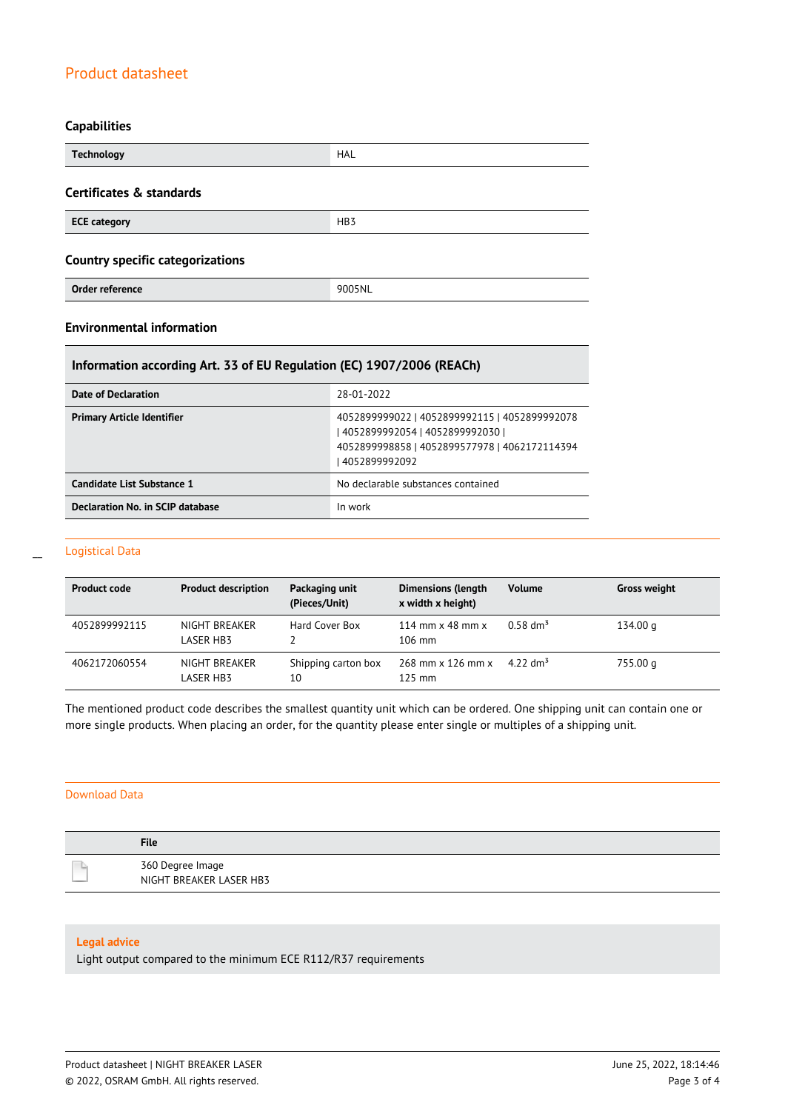#### **Capabilities**

| <b>Technology</b>                       | <b>HAL</b>      |
|-----------------------------------------|-----------------|
| Certificates & standards                |                 |
| <b>ECE category</b>                     | HB <sub>3</sub> |
| <b>Country specific categorizations</b> |                 |
| Order reference                         | 9005NL          |

### **Environmental information**

#### **Information according Art. 33 of EU Regulation (EC) 1907/2006 (REACh)**

| Date of Declaration               | 28-01-2022                                                                                                                                            |
|-----------------------------------|-------------------------------------------------------------------------------------------------------------------------------------------------------|
| <b>Primary Article Identifier</b> | 4052899999022   4052899992115   4052899992078<br>  4052899992054   4052899992030  <br>4052899998858   4052899577978   4062172114394<br>14052899992092 |
| Candidate List Substance 1        | No declarable substances contained                                                                                                                    |
| Declaration No. in SCIP database  | In work                                                                                                                                               |

#### Logistical Data

| <b>Product code</b> | <b>Product description</b> | Packaging unit<br>(Pieces/Unit) | <b>Dimensions (length</b><br>x width x height) | <b>Volume</b>        | <b>Gross weight</b> |
|---------------------|----------------------------|---------------------------------|------------------------------------------------|----------------------|---------------------|
| 4052899992115       | NIGHT BREAKER<br>LASER HB3 | Hard Cover Box                  | 114 mm $\times$ 48 mm $\times$<br>$106$ mm     | $0.58 \text{ dm}^3$  | 134.00 g            |
| 4062172060554       | NIGHT BREAKER<br>LASER HB3 | Shipping carton box<br>10       | 268 mm x 126 mm x<br>$125$ mm                  | 4.22 dm <sup>3</sup> | 755.00 g            |

The mentioned product code describes the smallest quantity unit which can be ordered. One shipping unit can contain one or more single products. When placing an order, for the quantity please enter single or multiples of a shipping unit.

#### Download Data

| <b>File</b>                                 |
|---------------------------------------------|
| 360 Degree Image<br>NIGHT BREAKER LASER HB3 |

#### **Legal advice**

Light output compared to the minimum ECE R112/R37 requirements